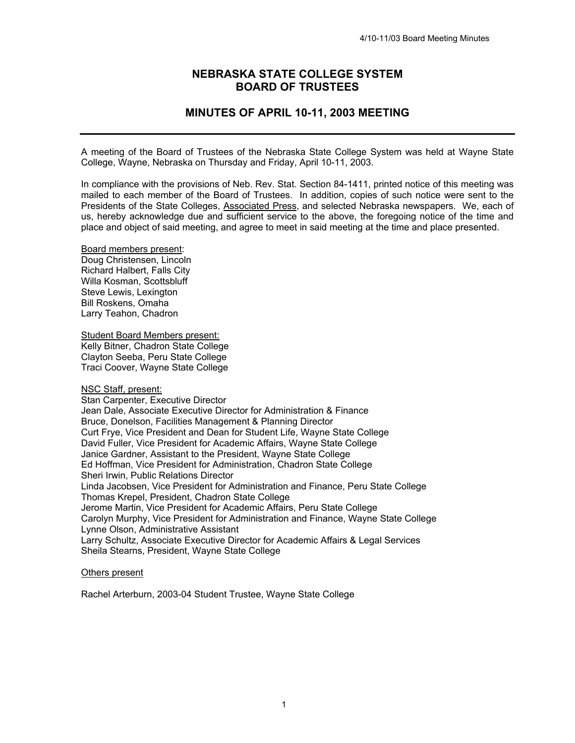# **NEBRASKA STATE COLLEGE SYSTEM BOARD OF TRUSTEES**

# **MINUTES OF APRIL 10-11, 2003 MEETING**

A meeting of the Board of Trustees of the Nebraska State College System was held at Wayne State College, Wayne, Nebraska on Thursday and Friday, April 10-11, 2003.

In compliance with the provisions of Neb. Rev. Stat. Section 84-1411, printed notice of this meeting was mailed to each member of the Board of Trustees. In addition, copies of such notice were sent to the Presidents of the State Colleges, Associated Press, and selected Nebraska newspapers. We, each of us, hereby acknowledge due and sufficient service to the above, the foregoing notice of the time and place and object of said meeting, and agree to meet in said meeting at the time and place presented.

Board members present: Doug Christensen, Lincoln Richard Halbert, Falls City Willa Kosman, Scottsbluff Steve Lewis, Lexington Bill Roskens, Omaha Larry Teahon, Chadron

Student Board Members present: Kelly Bitner, Chadron State College Clayton Seeba, Peru State College Traci Coover, Wayne State College

NSC Staff, present:

Stan Carpenter, Executive Director Jean Dale, Associate Executive Director for Administration & Finance Bruce, Donelson, Facilities Management & Planning Director Curt Frye, Vice President and Dean for Student Life, Wayne State College David Fuller, Vice President for Academic Affairs, Wayne State College Janice Gardner, Assistant to the President, Wayne State College Ed Hoffman, Vice President for Administration, Chadron State College Sheri Irwin, Public Relations Director Linda Jacobsen, Vice President for Administration and Finance, Peru State College Thomas Krepel, President, Chadron State College Jerome Martin, Vice President for Academic Affairs, Peru State College Carolyn Murphy, Vice President for Administration and Finance, Wayne State College Lynne Olson, Administrative Assistant Larry Schultz, Associate Executive Director for Academic Affairs & Legal Services Sheila Stearns, President, Wayne State College

### Others present

Rachel Arterburn, 2003-04 Student Trustee, Wayne State College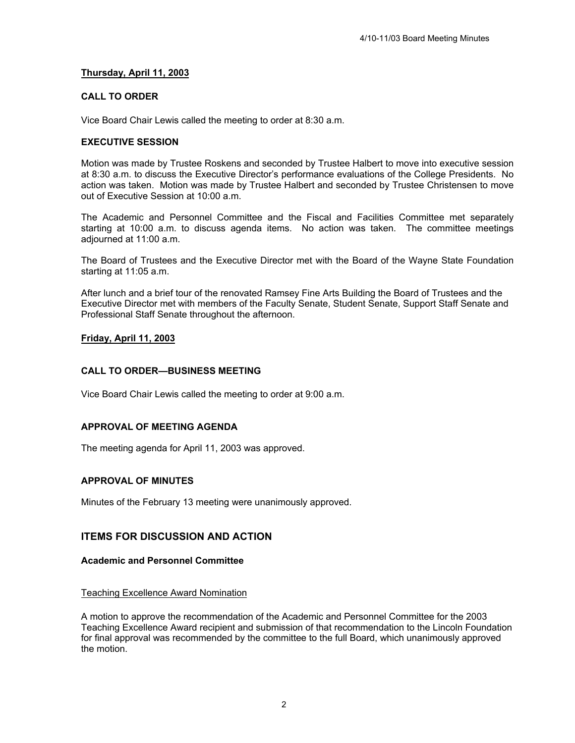## **Thursday, April 11, 2003**

## **CALL TO ORDER**

Vice Board Chair Lewis called the meeting to order at 8:30 a.m.

## **EXECUTIVE SESSION**

Motion was made by Trustee Roskens and seconded by Trustee Halbert to move into executive session at 8:30 a.m. to discuss the Executive Director's performance evaluations of the College Presidents. No action was taken. Motion was made by Trustee Halbert and seconded by Trustee Christensen to move out of Executive Session at 10:00 a.m.

The Academic and Personnel Committee and the Fiscal and Facilities Committee met separately starting at 10:00 a.m. to discuss agenda items. No action was taken. The committee meetings adjourned at 11:00 a.m.

The Board of Trustees and the Executive Director met with the Board of the Wayne State Foundation starting at 11:05 a.m.

After lunch and a brief tour of the renovated Ramsey Fine Arts Building the Board of Trustees and the Executive Director met with members of the Faculty Senate, Student Senate, Support Staff Senate and Professional Staff Senate throughout the afternoon.

## **Friday, April 11, 2003**

## **CALL TO ORDER—BUSINESS MEETING**

Vice Board Chair Lewis called the meeting to order at 9:00 a.m.

### **APPROVAL OF MEETING AGENDA**

The meeting agenda for April 11, 2003 was approved.

### **APPROVAL OF MINUTES**

Minutes of the February 13 meeting were unanimously approved.

## **ITEMS FOR DISCUSSION AND ACTION**

### **Academic and Personnel Committee**

### Teaching Excellence Award Nomination

A motion to approve the recommendation of the Academic and Personnel Committee for the 2003 Teaching Excellence Award recipient and submission of that recommendation to the Lincoln Foundation for final approval was recommended by the committee to the full Board, which unanimously approved the motion.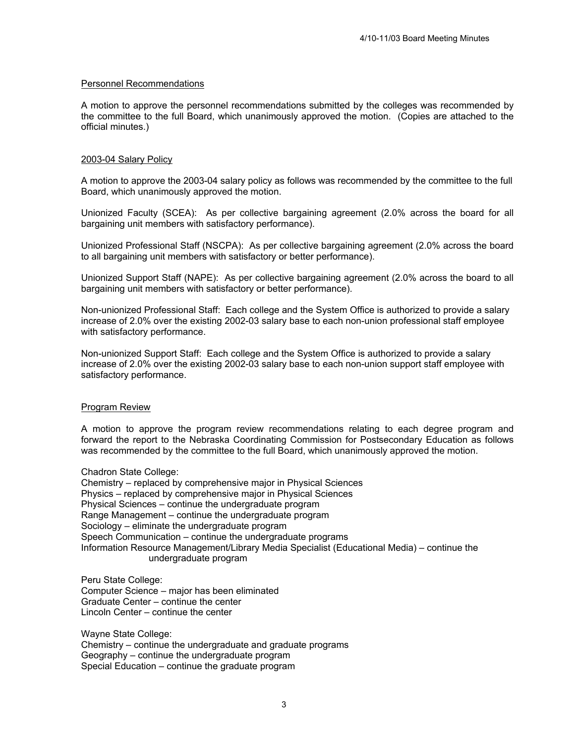### Personnel Recommendations

A motion to approve the personnel recommendations submitted by the colleges was recommended by the committee to the full Board, which unanimously approved the motion. (Copies are attached to the official minutes.)

### 2003-04 Salary Policy

A motion to approve the 2003-04 salary policy as follows was recommended by the committee to the full Board, which unanimously approved the motion.

Unionized Faculty (SCEA): As per collective bargaining agreement (2.0% across the board for all bargaining unit members with satisfactory performance).

Unionized Professional Staff (NSCPA): As per collective bargaining agreement (2.0% across the board to all bargaining unit members with satisfactory or better performance).

Unionized Support Staff (NAPE): As per collective bargaining agreement (2.0% across the board to all bargaining unit members with satisfactory or better performance).

Non-unionized Professional Staff: Each college and the System Office is authorized to provide a salary increase of 2.0% over the existing 2002-03 salary base to each non-union professional staff employee with satisfactory performance.

Non-unionized Support Staff: Each college and the System Office is authorized to provide a salary increase of 2.0% over the existing 2002-03 salary base to each non-union support staff employee with satisfactory performance.

#### Program Review

A motion to approve the program review recommendations relating to each degree program and forward the report to the Nebraska Coordinating Commission for Postsecondary Education as follows was recommended by the committee to the full Board, which unanimously approved the motion.

Chadron State College: Chemistry – replaced by comprehensive major in Physical Sciences Physics – replaced by comprehensive major in Physical Sciences Physical Sciences – continue the undergraduate program Range Management – continue the undergraduate program

Sociology – eliminate the undergraduate program Speech Communication – continue the undergraduate programs Information Resource Management/Library Media Specialist (Educational Media) – continue the undergraduate program

Peru State College: Computer Science – major has been eliminated Graduate Center – continue the center Lincoln Center – continue the center

Wayne State College: Chemistry – continue the undergraduate and graduate programs Geography – continue the undergraduate program Special Education – continue the graduate program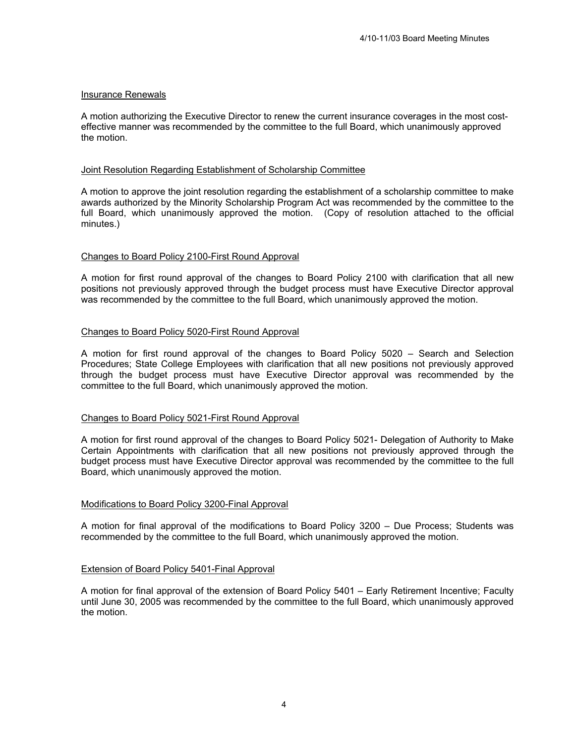## Insurance Renewals

A motion authorizing the Executive Director to renew the current insurance coverages in the most costeffective manner was recommended by the committee to the full Board, which unanimously approved the motion.

## Joint Resolution Regarding Establishment of Scholarship Committee

A motion to approve the joint resolution regarding the establishment of a scholarship committee to make awards authorized by the Minority Scholarship Program Act was recommended by the committee to the full Board, which unanimously approved the motion. (Copy of resolution attached to the official minutes.)

## Changes to Board Policy 2100-First Round Approval

A motion for first round approval of the changes to Board Policy 2100 with clarification that all new positions not previously approved through the budget process must have Executive Director approval was recommended by the committee to the full Board, which unanimously approved the motion.

## Changes to Board Policy 5020-First Round Approval

A motion for first round approval of the changes to Board Policy 5020 – Search and Selection Procedures; State College Employees with clarification that all new positions not previously approved through the budget process must have Executive Director approval was recommended by the committee to the full Board, which unanimously approved the motion.

## Changes to Board Policy 5021-First Round Approval

A motion for first round approval of the changes to Board Policy 5021- Delegation of Authority to Make Certain Appointments with clarification that all new positions not previously approved through the budget process must have Executive Director approval was recommended by the committee to the full Board, which unanimously approved the motion.

### Modifications to Board Policy 3200-Final Approval

A motion for final approval of the modifications to Board Policy 3200 – Due Process; Students was recommended by the committee to the full Board, which unanimously approved the motion.

### Extension of Board Policy 5401-Final Approval

A motion for final approval of the extension of Board Policy 5401 – Early Retirement Incentive; Faculty until June 30, 2005 was recommended by the committee to the full Board, which unanimously approved the motion.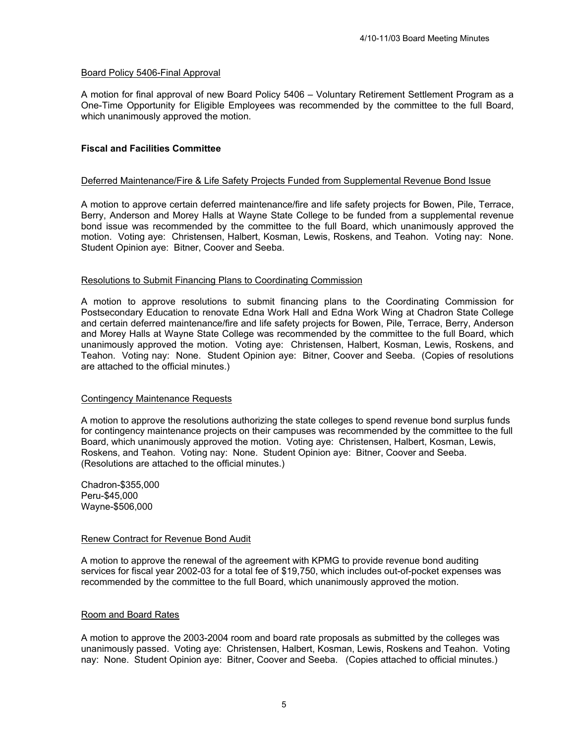### Board Policy 5406-Final Approval

A motion for final approval of new Board Policy 5406 – Voluntary Retirement Settlement Program as a One-Time Opportunity for Eligible Employees was recommended by the committee to the full Board, which unanimously approved the motion.

### **Fiscal and Facilities Committee**

#### Deferred Maintenance/Fire & Life Safety Projects Funded from Supplemental Revenue Bond Issue

A motion to approve certain deferred maintenance/fire and life safety projects for Bowen, Pile, Terrace, Berry, Anderson and Morey Halls at Wayne State College to be funded from a supplemental revenue bond issue was recommended by the committee to the full Board, which unanimously approved the motion. Voting aye: Christensen, Halbert, Kosman, Lewis, Roskens, and Teahon. Voting nay: None. Student Opinion aye: Bitner, Coover and Seeba.

#### Resolutions to Submit Financing Plans to Coordinating Commission

A motion to approve resolutions to submit financing plans to the Coordinating Commission for Postsecondary Education to renovate Edna Work Hall and Edna Work Wing at Chadron State College and certain deferred maintenance/fire and life safety projects for Bowen, Pile, Terrace, Berry, Anderson and Morey Halls at Wayne State College was recommended by the committee to the full Board, which unanimously approved the motion. Voting aye: Christensen, Halbert, Kosman, Lewis, Roskens, and Teahon. Voting nay: None. Student Opinion aye: Bitner, Coover and Seeba. (Copies of resolutions are attached to the official minutes.)

#### Contingency Maintenance Requests

A motion to approve the resolutions authorizing the state colleges to spend revenue bond surplus funds for contingency maintenance projects on their campuses was recommended by the committee to the full Board, which unanimously approved the motion. Voting aye: Christensen, Halbert, Kosman, Lewis, Roskens, and Teahon. Voting nay: None. Student Opinion aye: Bitner, Coover and Seeba. (Resolutions are attached to the official minutes.)

Chadron-\$355,000 Peru-\$45,000 Wayne-\$506,000

### Renew Contract for Revenue Bond Audit

A motion to approve the renewal of the agreement with KPMG to provide revenue bond auditing services for fiscal year 2002-03 for a total fee of \$19,750, which includes out-of-pocket expenses was recommended by the committee to the full Board, which unanimously approved the motion.

#### Room and Board Rates

A motion to approve the 2003-2004 room and board rate proposals as submitted by the colleges was unanimously passed. Voting aye: Christensen, Halbert, Kosman, Lewis, Roskens and Teahon. Voting nay: None. Student Opinion aye: Bitner, Coover and Seeba. (Copies attached to official minutes.)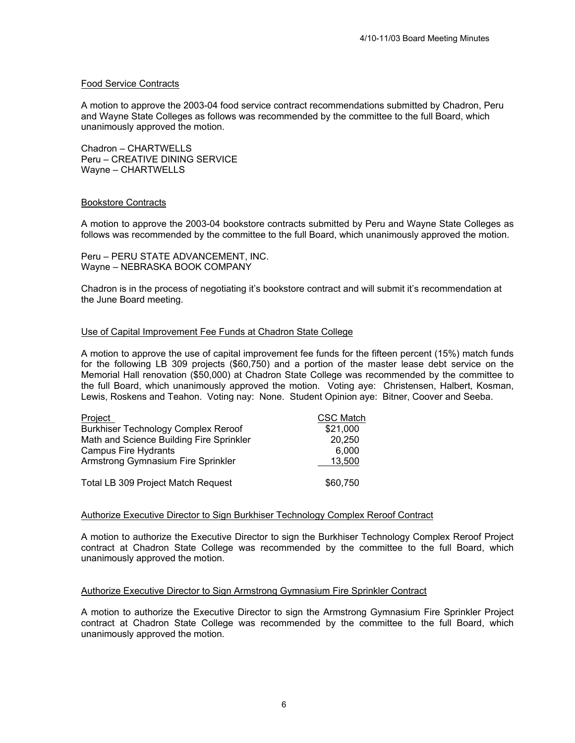### Food Service Contracts

A motion to approve the 2003-04 food service contract recommendations submitted by Chadron, Peru and Wayne State Colleges as follows was recommended by the committee to the full Board, which unanimously approved the motion.

Chadron – CHARTWELLS Peru – CREATIVE DINING SERVICE Wayne – CHARTWELLS

### Bookstore Contracts

A motion to approve the 2003-04 bookstore contracts submitted by Peru and Wayne State Colleges as follows was recommended by the committee to the full Board, which unanimously approved the motion.

Peru – PERU STATE ADVANCEMENT, INC. Wayne – NEBRASKA BOOK COMPANY

Chadron is in the process of negotiating it's bookstore contract and will submit it's recommendation at the June Board meeting.

### Use of Capital Improvement Fee Funds at Chadron State College

A motion to approve the use of capital improvement fee funds for the fifteen percent (15%) match funds for the following LB 309 projects (\$60,750) and a portion of the master lease debt service on the Memorial Hall renovation (\$50,000) at Chadron State College was recommended by the committee to the full Board, which unanimously approved the motion. Voting aye: Christensen, Halbert, Kosman, Lewis, Roskens and Teahon. Voting nay: None. Student Opinion aye: Bitner, Coover and Seeba.

| Project                                    | <b>CSC Match</b> |
|--------------------------------------------|------------------|
| <b>Burkhiser Technology Complex Reroof</b> | \$21,000         |
| Math and Science Building Fire Sprinkler   | 20,250           |
| <b>Campus Fire Hydrants</b>                | 6.000            |
| Armstrong Gymnasium Fire Sprinkler         | 13,500           |
| <b>Total LB 309 Project Match Request</b>  | \$60,750         |

#### Authorize Executive Director to Sign Burkhiser Technology Complex Reroof Contract

A motion to authorize the Executive Director to sign the Burkhiser Technology Complex Reroof Project contract at Chadron State College was recommended by the committee to the full Board, which unanimously approved the motion.

#### Authorize Executive Director to Sign Armstrong Gymnasium Fire Sprinkler Contract

A motion to authorize the Executive Director to sign the Armstrong Gymnasium Fire Sprinkler Project contract at Chadron State College was recommended by the committee to the full Board, which unanimously approved the motion.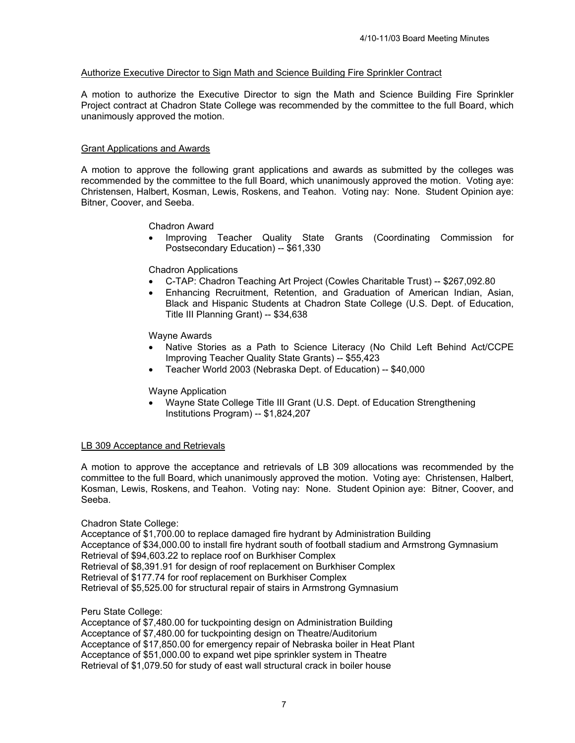## Authorize Executive Director to Sign Math and Science Building Fire Sprinkler Contract

A motion to authorize the Executive Director to sign the Math and Science Building Fire Sprinkler Project contract at Chadron State College was recommended by the committee to the full Board, which unanimously approved the motion.

### Grant Applications and Awards

A motion to approve the following grant applications and awards as submitted by the colleges was recommended by the committee to the full Board, which unanimously approved the motion. Voting aye: Christensen, Halbert, Kosman, Lewis, Roskens, and Teahon. Voting nay: None. Student Opinion aye: Bitner, Coover, and Seeba.

Chadron Award

• Improving Teacher Quality State Grants (Coordinating Commission for Postsecondary Education) -- \$61,330

Chadron Applications

- C-TAP: Chadron Teaching Art Project (Cowles Charitable Trust) -- \$267,092.80
- Enhancing Recruitment, Retention, and Graduation of American Indian, Asian, Black and Hispanic Students at Chadron State College (U.S. Dept. of Education, Title III Planning Grant) -- \$34,638

Wayne Awards

- Native Stories as a Path to Science Literacy (No Child Left Behind Act/CCPE Improving Teacher Quality State Grants) -- \$55,423
- Teacher World 2003 (Nebraska Dept. of Education) -- \$40,000

Wayne Application

• Wayne State College Title III Grant (U.S. Dept. of Education Strengthening Institutions Program) -- \$1,824,207

### LB 309 Acceptance and Retrievals

A motion to approve the acceptance and retrievals of LB 309 allocations was recommended by the committee to the full Board, which unanimously approved the motion. Voting aye: Christensen, Halbert, Kosman, Lewis, Roskens, and Teahon. Voting nay: None. Student Opinion aye: Bitner, Coover, and Seeba.

### Chadron State College:

Acceptance of \$1,700.00 to replace damaged fire hydrant by Administration Building Acceptance of \$34,000.00 to install fire hydrant south of football stadium and Armstrong Gymnasium Retrieval of \$94,603.22 to replace roof on Burkhiser Complex Retrieval of \$8,391.91 for design of roof replacement on Burkhiser Complex Retrieval of \$177.74 for roof replacement on Burkhiser Complex Retrieval of \$5,525.00 for structural repair of stairs in Armstrong Gymnasium

Peru State College:

Acceptance of \$7,480.00 for tuckpointing design on Administration Building Acceptance of \$7,480.00 for tuckpointing design on Theatre/Auditorium Acceptance of \$17,850.00 for emergency repair of Nebraska boiler in Heat Plant Acceptance of \$51,000.00 to expand wet pipe sprinkler system in Theatre Retrieval of \$1,079.50 for study of east wall structural crack in boiler house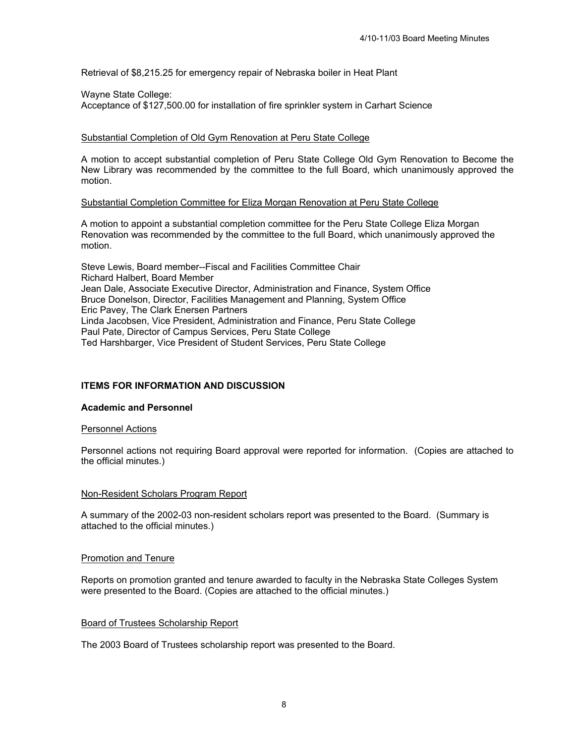Retrieval of \$8,215.25 for emergency repair of Nebraska boiler in Heat Plant

## Wayne State College:

Acceptance of \$127,500.00 for installation of fire sprinkler system in Carhart Science

## Substantial Completion of Old Gym Renovation at Peru State College

A motion to accept substantial completion of Peru State College Old Gym Renovation to Become the New Library was recommended by the committee to the full Board, which unanimously approved the motion.

## Substantial Completion Committee for Eliza Morgan Renovation at Peru State College

A motion to appoint a substantial completion committee for the Peru State College Eliza Morgan Renovation was recommended by the committee to the full Board, which unanimously approved the motion.

Steve Lewis, Board member--Fiscal and Facilities Committee Chair Richard Halbert, Board Member Jean Dale, Associate Executive Director, Administration and Finance, System Office Bruce Donelson, Director, Facilities Management and Planning, System Office Eric Pavey, The Clark Enersen Partners Linda Jacobsen, Vice President, Administration and Finance, Peru State College Paul Pate, Director of Campus Services, Peru State College Ted Harshbarger, Vice President of Student Services, Peru State College

## **ITEMS FOR INFORMATION AND DISCUSSION**

## **Academic and Personnel**

### Personnel Actions

Personnel actions not requiring Board approval were reported for information. (Copies are attached to the official minutes.)

### Non-Resident Scholars Program Report

A summary of the 2002-03 non-resident scholars report was presented to the Board. (Summary is attached to the official minutes.)

## Promotion and Tenure

Reports on promotion granted and tenure awarded to faculty in the Nebraska State Colleges System were presented to the Board. (Copies are attached to the official minutes.)

### Board of Trustees Scholarship Report

The 2003 Board of Trustees scholarship report was presented to the Board.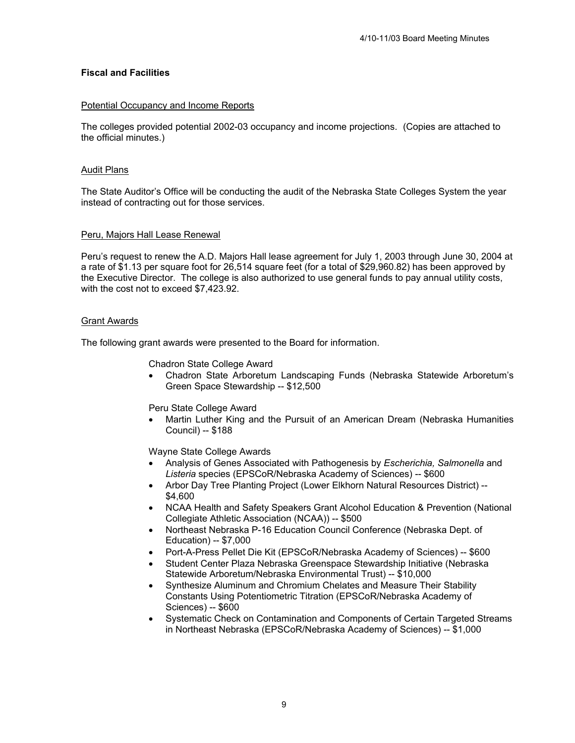## **Fiscal and Facilities**

## Potential Occupancy and Income Reports

The colleges provided potential 2002-03 occupancy and income projections. (Copies are attached to the official minutes.)

## Audit Plans

The State Auditor's Office will be conducting the audit of the Nebraska State Colleges System the year instead of contracting out for those services.

## Peru, Majors Hall Lease Renewal

Peru's request to renew the A.D. Majors Hall lease agreement for July 1, 2003 through June 30, 2004 at a rate of \$1.13 per square foot for 26,514 square feet (for a total of \$29,960.82) has been approved by the Executive Director. The college is also authorized to use general funds to pay annual utility costs, with the cost not to exceed \$7,423.92.

### Grant Awards

The following grant awards were presented to the Board for information.

### Chadron State College Award

• Chadron State Arboretum Landscaping Funds (Nebraska Statewide Arboretum's Green Space Stewardship -- \$12,500

Peru State College Award

• Martin Luther King and the Pursuit of an American Dream (Nebraska Humanities Council) -- \$188

Wayne State College Awards

- Analysis of Genes Associated with Pathogenesis by *Escherichia, Salmonella* and *Listeria* species (EPSCoR/Nebraska Academy of Sciences) -- \$600
- Arbor Day Tree Planting Project (Lower Elkhorn Natural Resources District) -- \$4,600
- NCAA Health and Safety Speakers Grant Alcohol Education & Prevention (National Collegiate Athletic Association (NCAA)) -- \$500
- Northeast Nebraska P-16 Education Council Conference (Nebraska Dept. of Education) -- \$7,000
- Port-A-Press Pellet Die Kit (EPSCoR/Nebraska Academy of Sciences) -- \$600
- Student Center Plaza Nebraska Greenspace Stewardship Initiative (Nebraska Statewide Arboretum/Nebraska Environmental Trust) -- \$10,000
- Synthesize Aluminum and Chromium Chelates and Measure Their Stability Constants Using Potentiometric Titration (EPSCoR/Nebraska Academy of Sciences) -- \$600
- Systematic Check on Contamination and Components of Certain Targeted Streams in Northeast Nebraska (EPSCoR/Nebraska Academy of Sciences) -- \$1,000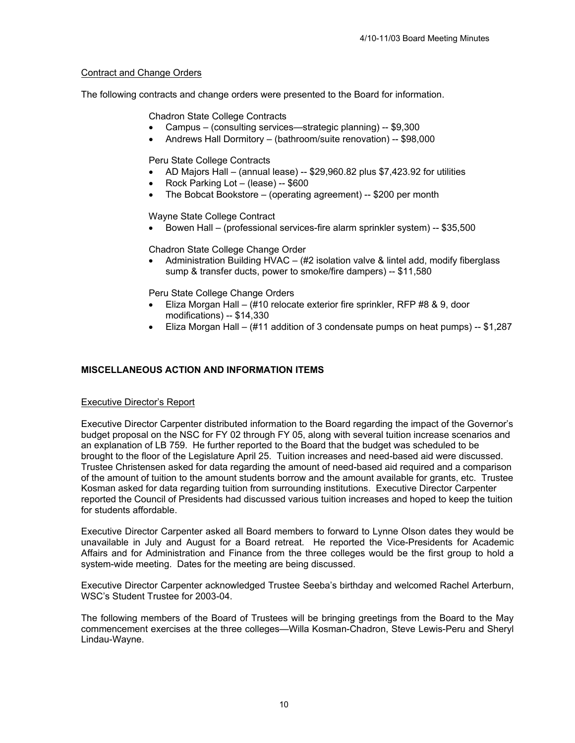## Contract and Change Orders

The following contracts and change orders were presented to the Board for information.

Chadron State College Contracts

- Campus (consulting services—strategic planning) -- \$9,300
- Andrews Hall Dormitory (bathroom/suite renovation) -- \$98,000

Peru State College Contracts

- AD Majors Hall (annual lease) -- \$29,960.82 plus \$7,423.92 for utilities
- Rock Parking Lot (lease) -- \$600
- The Bobcat Bookstore (operating agreement) -- \$200 per month

Wayne State College Contract

• Bowen Hall – (professional services-fire alarm sprinkler system) -- \$35,500

Chadron State College Change Order

• Administration Building HVAC – (#2 isolation valve & lintel add, modify fiberglass sump & transfer ducts, power to smoke/fire dampers) -- \$11,580

Peru State College Change Orders

- Eliza Morgan Hall (#10 relocate exterior fire sprinkler, RFP #8 & 9, door modifications) -- \$14,330
- Eliza Morgan Hall (#11 addition of 3 condensate pumps on heat pumps) -- \$1,287

## **MISCELLANEOUS ACTION AND INFORMATION ITEMS**

## Executive Director's Report

Executive Director Carpenter distributed information to the Board regarding the impact of the Governor's budget proposal on the NSC for FY 02 through FY 05, along with several tuition increase scenarios and an explanation of LB 759. He further reported to the Board that the budget was scheduled to be brought to the floor of the Legislature April 25. Tuition increases and need-based aid were discussed. Trustee Christensen asked for data regarding the amount of need-based aid required and a comparison of the amount of tuition to the amount students borrow and the amount available for grants, etc. Trustee Kosman asked for data regarding tuition from surrounding institutions. Executive Director Carpenter reported the Council of Presidents had discussed various tuition increases and hoped to keep the tuition for students affordable.

Executive Director Carpenter asked all Board members to forward to Lynne Olson dates they would be unavailable in July and August for a Board retreat. He reported the Vice-Presidents for Academic Affairs and for Administration and Finance from the three colleges would be the first group to hold a system-wide meeting. Dates for the meeting are being discussed.

Executive Director Carpenter acknowledged Trustee Seeba's birthday and welcomed Rachel Arterburn, WSC's Student Trustee for 2003-04.

The following members of the Board of Trustees will be bringing greetings from the Board to the May commencement exercises at the three colleges—Willa Kosman-Chadron, Steve Lewis-Peru and Sheryl Lindau-Wayne.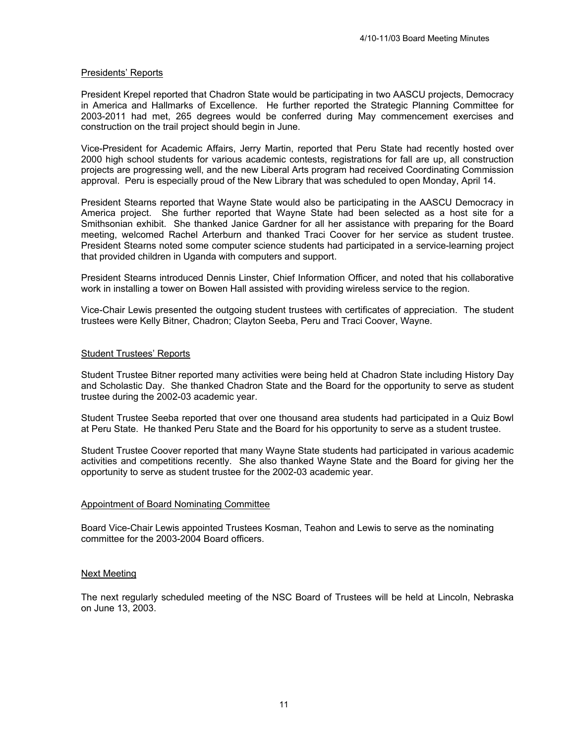### Presidents' Reports

President Krepel reported that Chadron State would be participating in two AASCU projects, Democracy in America and Hallmarks of Excellence. He further reported the Strategic Planning Committee for 2003-2011 had met, 265 degrees would be conferred during May commencement exercises and construction on the trail project should begin in June.

Vice-President for Academic Affairs, Jerry Martin, reported that Peru State had recently hosted over 2000 high school students for various academic contests, registrations for fall are up, all construction projects are progressing well, and the new Liberal Arts program had received Coordinating Commission approval. Peru is especially proud of the New Library that was scheduled to open Monday, April 14.

President Stearns reported that Wayne State would also be participating in the AASCU Democracy in America project. She further reported that Wayne State had been selected as a host site for a Smithsonian exhibit. She thanked Janice Gardner for all her assistance with preparing for the Board meeting, welcomed Rachel Arterburn and thanked Traci Coover for her service as student trustee. President Stearns noted some computer science students had participated in a service-learning project that provided children in Uganda with computers and support.

President Stearns introduced Dennis Linster, Chief Information Officer, and noted that his collaborative work in installing a tower on Bowen Hall assisted with providing wireless service to the region.

Vice-Chair Lewis presented the outgoing student trustees with certificates of appreciation. The student trustees were Kelly Bitner, Chadron; Clayton Seeba, Peru and Traci Coover, Wayne.

### Student Trustees' Reports

Student Trustee Bitner reported many activities were being held at Chadron State including History Day and Scholastic Day. She thanked Chadron State and the Board for the opportunity to serve as student trustee during the 2002-03 academic year.

Student Trustee Seeba reported that over one thousand area students had participated in a Quiz Bowl at Peru State. He thanked Peru State and the Board for his opportunity to serve as a student trustee.

Student Trustee Coover reported that many Wayne State students had participated in various academic activities and competitions recently. She also thanked Wayne State and the Board for giving her the opportunity to serve as student trustee for the 2002-03 academic year.

#### Appointment of Board Nominating Committee

Board Vice-Chair Lewis appointed Trustees Kosman, Teahon and Lewis to serve as the nominating committee for the 2003-2004 Board officers.

#### Next Meeting

The next regularly scheduled meeting of the NSC Board of Trustees will be held at Lincoln, Nebraska on June 13, 2003.